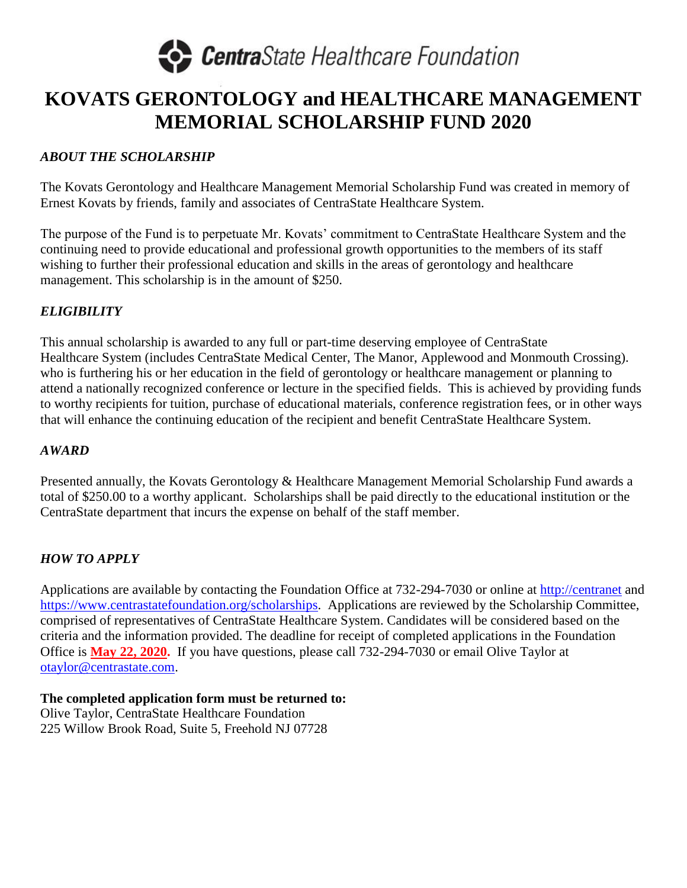

### **KOVATS GERONTOLOGY and HEALTHCARE MANAGEMENT MEMORIAL SCHOLARSHIP FUND 2020**

#### *ABOUT THE SCHOLARSHIP*

The Kovats Gerontology and Healthcare Management Memorial Scholarship Fund was created in memory of Ernest Kovats by friends, family and associates of CentraState Healthcare System.

The purpose of the Fund is to perpetuate Mr. Kovats' commitment to CentraState Healthcare System and the continuing need to provide educational and professional growth opportunities to the members of its staff wishing to further their professional education and skills in the areas of gerontology and healthcare management. This scholarship is in the amount of \$250.

#### *ELIGIBILITY*

This annual scholarship is awarded to any full or part-time deserving employee of CentraState Healthcare System (includes CentraState Medical Center, The Manor, Applewood and Monmouth Crossing). who is furthering his or her education in the field of gerontology or healthcare management or planning to attend a nationally recognized conference or lecture in the specified fields. This is achieved by providing funds to worthy recipients for tuition, purchase of educational materials, conference registration fees, or in other ways that will enhance the continuing education of the recipient and benefit CentraState Healthcare System.

#### *AWARD*

Presented annually, the Kovats Gerontology & Healthcare Management Memorial Scholarship Fund awards a total of \$250.00 to a worthy applicant. Scholarships shall be paid directly to the educational institution or the CentraState department that incurs the expense on behalf of the staff member.

#### *HOW TO APPLY*

Applications are available by contacting the Foundation Office at 732-294-7030 or online at [http://centranet](http://centranet/) and [https://www.centrastatefoundation.org/scholarships.](https://www.centrastatefoundation.org/scholarships) Applications are reviewed by the Scholarship Committee, comprised of representatives of CentraState Healthcare System. Candidates will be considered based on the criteria and the information provided. The deadline for receipt of completed applications in the Foundation Office is **May 22, 2020.** If you have questions, please call 732-294-7030 or email Olive Taylor at [otaylor@centrastate.com.](mailto:otaylor@centrastate.com)

**The completed application form must be returned to:**  Olive Taylor, CentraState Healthcare Foundation 225 Willow Brook Road, Suite 5, Freehold NJ 07728